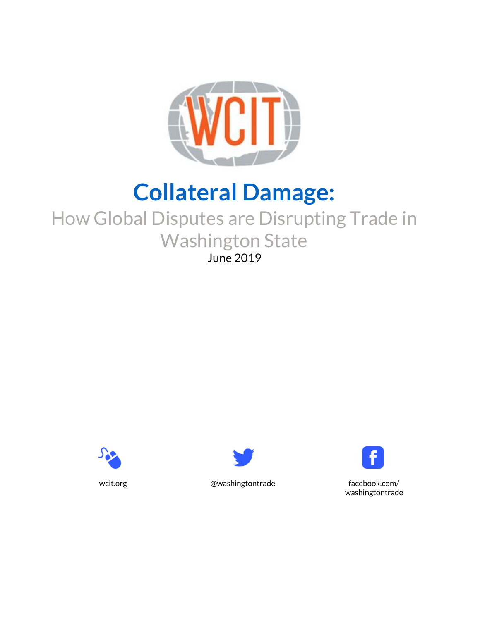

# **Collateral Damage:**

## How Global Disputes are Disrupting Trade in Washington State June 2019







wcit.org @washingtontrade facebook.com/ washingtontrade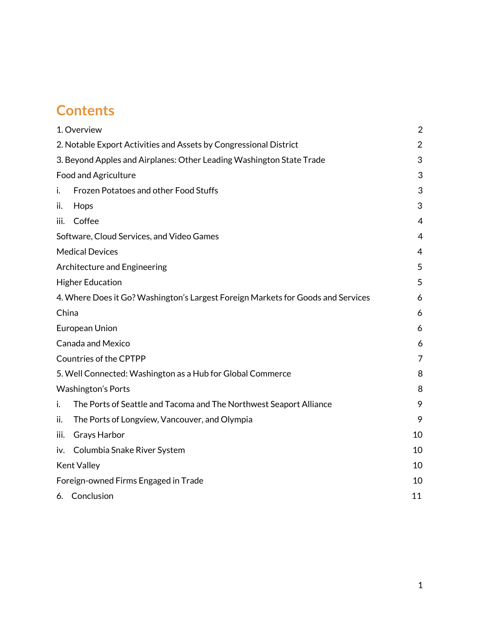## **Contents**

| 1. Overview                                                                      |                                                                    | $\overline{2}$ |
|----------------------------------------------------------------------------------|--------------------------------------------------------------------|----------------|
| 2. Notable Export Activities and Assets by Congressional District                |                                                                    | $\overline{2}$ |
| 3. Beyond Apples and Airplanes: Other Leading Washington State Trade             |                                                                    | 3              |
| <b>Food and Agriculture</b>                                                      |                                                                    | 3              |
| i.                                                                               | Frozen Potatoes and other Food Stuffs                              | 3              |
| ii.                                                                              | Hops                                                               | 3              |
| iii.                                                                             | Coffee                                                             | 4              |
|                                                                                  | Software, Cloud Services, and Video Games                          | $\overline{4}$ |
| <b>Medical Devices</b>                                                           |                                                                    | 4              |
| Architecture and Engineering                                                     |                                                                    | 5              |
|                                                                                  | <b>Higher Education</b>                                            | 5              |
| 4. Where Does it Go? Washington's Largest Foreign Markets for Goods and Services |                                                                    | 6              |
| China                                                                            |                                                                    | 6              |
| European Union                                                                   |                                                                    | 6              |
| <b>Canada and Mexico</b>                                                         |                                                                    | 6              |
| Countries of the CPTPP                                                           |                                                                    | 7              |
| 5. Well Connected: Washington as a Hub for Global Commerce                       |                                                                    | 8              |
| <b>Washington's Ports</b>                                                        |                                                                    | 8              |
| i.                                                                               | The Ports of Seattle and Tacoma and The Northwest Seaport Alliance | 9              |
| ii.                                                                              | The Ports of Longview, Vancouver, and Olympia                      | 9              |
| iii.                                                                             | Grays Harbor                                                       | 10             |
|                                                                                  | iv. Columbia Snake River System                                    | 10             |
| <b>Kent Valley</b>                                                               |                                                                    | 10             |
| Foreign-owned Firms Engaged in Trade                                             |                                                                    | 10             |
|                                                                                  | 6. Conclusion                                                      | 11             |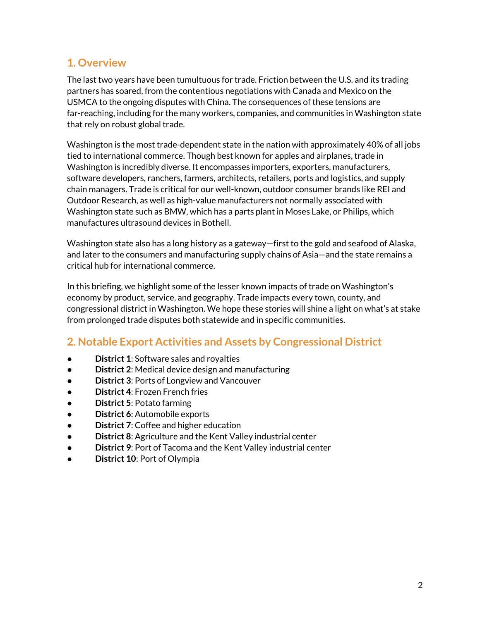#### **1. Overview**

The last two years have been tumultuous for trade. Friction between the U.S. and its trading partners has soared, from the contentious negotiations with Canada and Mexico on the USMCA to the ongoing disputes with China. The consequences of these tensions are far-reaching, including for the many workers, companies, and communities in Washington state that rely on robust global trade.

Washington is the most trade-dependent state in the nation with approximately 40% of all jobs tied to international commerce. Though best known for apples and airplanes, trade in Washington is incredibly diverse. It encompasses importers, exporters, manufacturers, software developers, ranchers, farmers, architects, retailers, ports and logistics, and supply chain managers. Trade is critical for our well-known, outdoor consumer brands like REI and Outdoor Research, as well as high-value manufacturers not normally associated with Washington state such as BMW, which has a parts plant in Moses Lake, or Philips, which manufactures ultrasound devices in Bothell.

Washington state also has a long history as a gateway—first to the gold and seafood of Alaska, and later to the consumers and manufacturing supply chains of Asia—and the state remains a critical hub for international commerce.

In this briefing, we highlight some of the lesser known impacts of trade on Washington's economy by product, service, and geography. Trade impacts every town, county, and congressional district in Washington. We hope these stories will shine a light on what's at stake from prolonged trade disputes both statewide and in specific communities.

### <span id="page-2-0"></span>**2. Notable Export Activities and Assets by Congressional District**

- **District 1: Software sales and royalties**
- **District 2**: Medical device design and manufacturing
- **District 3: Ports of Longview and Vancouver**
- **District 4: Frozen French fries**
- **District 5: Potato farming**
- **District 6: Automobile exports**
- **District 7: Coffee and higher education**
- **District 8**: Agriculture and the Kent Valley industrial center
- **District 9: Port of Tacoma and the Kent Valley industrial center**
- **District 10**: Port of Olympia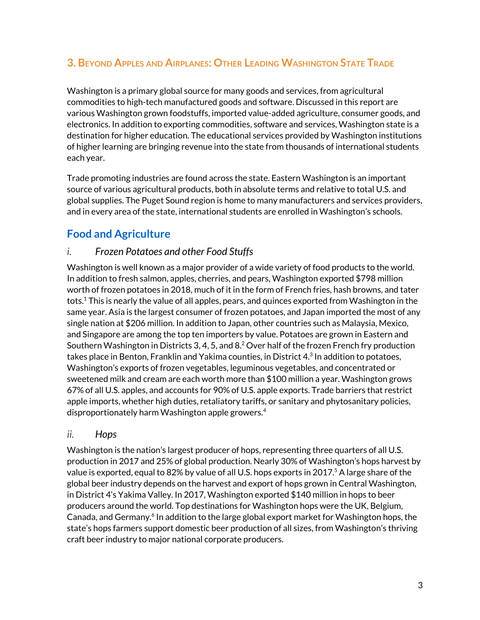### <span id="page-3-0"></span>**3. BEYOND APPLES AND AIRPLANES: OTHER LEADING WASHINGTON STATE TRADE**

Washington is a primary global source for many goods and services, from agricultural commodities to high-tech manufactured goods and software. Discussed in this report are various Washington grown foodstuffs, imported value-added agriculture, consumer goods, and electronics. In addition to exporting commodities, software and services, Washington state is a destination for higher education. The educational services provided by Washington institutions of higher learning are bringing revenue into the state from thousands of international students each year.

Trade promoting industries are found across the state. Eastern Washington is an important source of various agricultural products, both in absolute terms and relative to total U.S. and global supplies. The Puget Sound region is home to many manufacturers and services providers, and in every area of the state, international students are enrolled in Washington's schools.

## <span id="page-3-1"></span>**Food and Agriculture**

#### <span id="page-3-2"></span>*i. Frozen Potatoes and other Food Stuffs*

Washington is well known as a major provider of a wide variety of food products to the world. In addition to fresh salmon, apples, cherries, and pears, Washington exported \$798 million worth of frozen potatoes in 2018, much of it in the form of French fries, hash browns, and tater tots. $^{\rm 1}$  This is nearly the value of all apples, pears, and quinces exported from Washington in the same year. Asia is the largest consumer of frozen potatoes, and Japan imported the most of any single nation at \$206 million. In addition to Japan, other countries such as Malaysia, Mexico, and Singapore are among the top ten importers by value. Potatoes are grown in Eastern and Southern Washington in Districts 3, 4, 5, and 8.<sup>2</sup> Over half of the frozen French fry production takes place in Benton, Franklin and Yakima counties, in District 4. 3 In addition to potatoes, Washington's exports of frozen vegetables, leguminous vegetables, and concentrated or sweetened milk and cream are each worth more than \$100 million a year. Washington grows 67% of all U.S. apples, and accounts for 90% of U.S. apple exports. Trade barriers that restrict apple imports, whether high duties, retaliatory tariffs, or sanitary and phytosanitary policies, disproportionately harm Washington apple growers. 4

#### <span id="page-3-3"></span>*ii. Hops*

Washington is the nation's largest producer of hops, representing three quarters of all U.S. production in 2017 and 25% of global production. Nearly 30% of Washington's hops harvest by value is exported, equal to 82% by value of all U.S. hops exports in 2017. <sup>5</sup> A large share of the global beer industry depends on the harvest and export of hops grown in Central Washington, in District 4's Yakima Valley. In 2017, Washington exported \$140 million in hops to beer producers around the world. Top destinations for Washington hops were the UK, Belgium, Canada, and Germany.<sup>6</sup> In addition to the large global export market for Washington hops, the state's hops farmers support domestic beer production of all sizes, from Washington's thriving craft beer industry to major national corporate producers.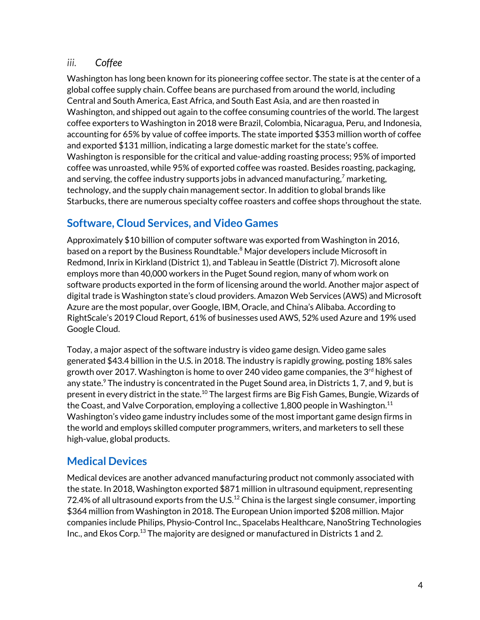#### <span id="page-4-0"></span>*iii. Coffee*

Washington has long been known for its pioneering coffee sector. The state is at the center of a global coffee supply chain. Coffee beans are purchased from around the world, including Central and South America, East Africa, and South East Asia, and are then roasted in Washington, and shipped out again to the coffee consuming countries of the world. The largest coffee exporters to Washington in 2018 were Brazil, Colombia, Nicaragua, Peru, and Indonesia, accounting for 65% by value of coffee imports. The state imported \$353 million worth of coffee and exported \$131 million, indicating a large domestic market for the state's coffee. Washington is responsible for the critical and value-adding roasting process; 95% of imported coffee was unroasted, while 95% of exported coffee was roasted. Besides roasting, packaging, and serving, the coffee industry supports jobs in advanced manufacturing, $^7$  marketing, technology, and the supply chain management sector. In addition to global brands like Starbucks, there are numerous specialty coffee roasters and coffee shops throughout the state.

## <span id="page-4-1"></span>**Software, Cloud Services, and Video Games**

Approximately \$10 billion of computer software was exported from Washington in 2016, based on a report by the Business Roundtable. <sup>8</sup> Major developers include Microsoft in Redmond, Inrix in Kirkland (District 1), and Tableau in Seattle (District 7). Microsoft alone employs more than 40,000 workers in the Puget Sound region, many of whom work on software products exported in the form of licensing around the world. Another major aspect of digital trade is Washington state's cloud providers. Amazon Web Services (AWS) and Microsoft Azure are the most popular, over Google, IBM, Oracle, and China's Alibaba. According to RightScale's 2019 Cloud Report, 61% of businesses used AWS, 52% used Azure and 19% used Google Cloud.

Today, a major aspect of the software industry is video game design. Video game sales generated \$43.4 billion in the U.S. in 2018. The industry is rapidly growing, posting 18% sales growth over 2017. Washington is home to over 240 video game companies, the 3<sup>rd</sup> highest of any state.<sup>9</sup> The industry is concentrated in the Puget Sound area, in Districts 1, 7, and 9, but is present in every district in the state.<sup>10</sup> The largest firms are Big Fish Games, Bungie, Wizards of the Coast, and Valve Corporation, employing a collective 1,800 people in Washington. $^{\rm 11}$ Washington's video game industry includes some of the most important game design firms in the world and employs skilled computer programmers, writers, and marketers to sell these high-value, global products.

## <span id="page-4-2"></span>**Medical Devices**

Medical devices are another advanced manufacturing product not commonly associated with the state. In 2018, Washington exported \$871 million in ultrasound equipment, representing 72.4% of all ultrasound exports from the U.S. $^{12}$  China is the largest single consumer, importing \$364 million from Washington in 2018. The European Union imported \$208 million. Major companies include Philips, Physio-Control Inc., Spacelabs Healthcare, NanoString Technologies Inc., and Ekos Corp. $^{13}$  The majority are designed or manufactured in Districts 1 and 2.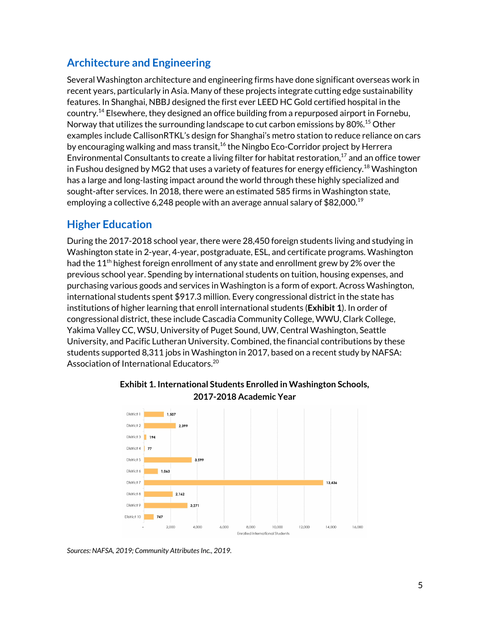## <span id="page-5-0"></span>**Architecture and Engineering**

Several Washington architecture and engineering firms have done significant overseas work in recent years, particularly in Asia. Many of these projects integrate cutting edge sustainability features. In Shanghai, NBBJ designed the first ever LEED HC Gold certified hospital in the country. <sup>14</sup> Elsewhere, they designed an office building from a repurposed airport in Fornebu, Norway that utilizes the surrounding landscape to cut carbon emissions by 80%. <sup>15</sup> Other examples include CallisonRTKL's design for Shanghai's metro station to reduce reliance on cars by encouraging walking and mass transit,<sup>16</sup> the Ningbo Eco-Corridor project by Herrera Environmental Consultants to create a living filter for habitat restoration, $^{17}$  and an office tower in Fushou designed by MG2 that uses a variety of features for energy efficiency. $^{18}$  Washington has a large and long-lasting impact around the world through these highly specialized and sought-after services. In 2018, there were an estimated 585 firms in Washington state, employing a collective 6,248 people with an average annual salary of  $$82,000.^{19}$ 

## <span id="page-5-1"></span>**Higher Education**

During the 2017-2018 school year, there were 28,450 foreign students living and studying in Washington state in 2-year, 4-year, postgraduate, ESL, and certificate programs. Washington had the 11<sup>th</sup> highest foreign enrollment of any state and enrollment grew by 2% over the previous school year. Spending by international students on tuition, housing expenses, and purchasing various goods and services in Washington is a form of export. Across Washington, international students spent \$917.3 million. Every congressional district in the state has institutions of higher learning that enroll international students (**Exhibit 1**). In order of congressional district, these include Cascadia Community College, WWU, Clark College, Yakima Valley CC, WSU, University of Puget Sound, UW, Central Washington, Seattle University, and Pacific Lutheran University. Combined, the financial contributions by these students supported 8,311 jobs in Washington in 2017, based on a recent study by NAFSA: Association of International Educators. 20



#### **Exhibit 1. International Students Enrolled in Washington Schools, 2017-2018 Academic Year**

*Sources: NAFSA, 2019; Community AttributesInc., 2019.*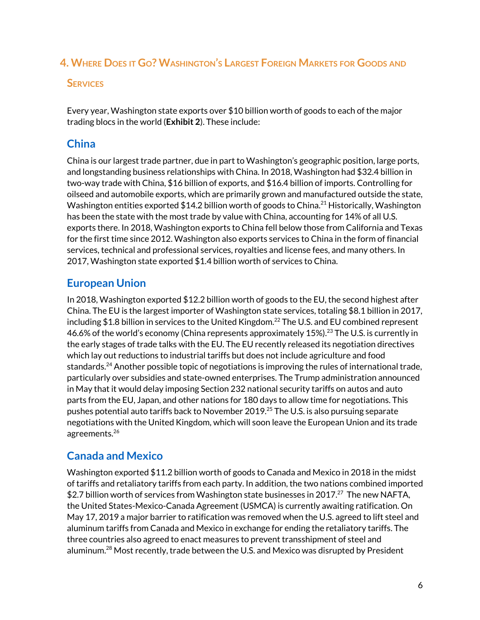### <span id="page-6-0"></span>4. WHERE DOES IT GO? WASHINGTON'S LARGEST FOREIGN MARKETS FOR GOODS AND

#### **SERVICES**

Every year, Washington state exports over \$10 billion worth of goods to each of the major trading blocs in the world (**Exhibit 2**). These include:

## <span id="page-6-1"></span>**China**

China is our largest trade partner, due in part to Washington's geographic position, large ports, and longstanding business relationships with China. In 2018, Washington had \$32.4 billion in two-way trade with China, \$16 billion of exports, and \$16.4 billion of imports. Controlling for oilseed and automobile exports, which are primarily grown and manufactured outside the state, Washington entities exported  $$14.2$  billion worth of goods to China. $^{21}$  Historically, Washington has been the state with the most trade by value with China, accounting for 14% of all U.S. exports there. In 2018, Washington exports to China fell below those from California and Texas for the first time since 2012. Washington also exports services to China in the form of financial services, technical and professional services, royalties and license fees, and many others. In 2017, Washington state exported \$1.4 billion worth of services to China.

## <span id="page-6-2"></span>**European Union**

In 2018, Washington exported \$12.2 billion worth of goods to the EU, the second highest after China. The EU is the largest importer of Washington state services, totaling \$8.1 billion in 2017, including \$1.8 billion in services to the United Kingdom. $^{22}$  The U.S. and EU combined represent 46.6% of the world's economy (China represents approximately 15%).<sup>23</sup> The U.S. is currently in the early stages of trade talks with the EU. The EU recently released its negotiation directives which lay out reductions to industrial tariffs but does not include agriculture and food standards.<sup>24</sup> Another possible topic of negotiations is improving the rules of international trade, particularly over subsidies and state-owned enterprises. The Trump administration announced in May that it would delay imposing Section 232 national security tariffs on autos and auto parts from the EU, Japan, and other nations for 180 days to allow time for negotiations. This pushes potential auto tariffs back to November 2019. <sup>25</sup> The U.S. is also pursuing separate negotiations with the United Kingdom, which will soon leave the European Union and its trade agreements. 26

## <span id="page-6-3"></span>**Canada and Mexico**

Washington exported \$11.2 billion worth of goods to Canada and Mexico in 2018 in the midst of tariffs and retaliatory tariffs from each party. In addition, the two nations combined imported \$2.7 billion worth of services from Washington state businesses in 2017.<sup>27</sup> The new NAFTA, the United States-Mexico-Canada Agreement (USMCA) is currently awaiting ratification. On May 17, 2019 a major barrier to ratification was removed when the U.S. agreed to lift steel and aluminum tariffs from Canada and Mexico in exchange for ending the retaliatory tariffs. The three countries also agreed to enact measures to prevent transshipment of steel and aluminum.<sup>28</sup> Most recently, trade between the U.S. and Mexico was disrupted by President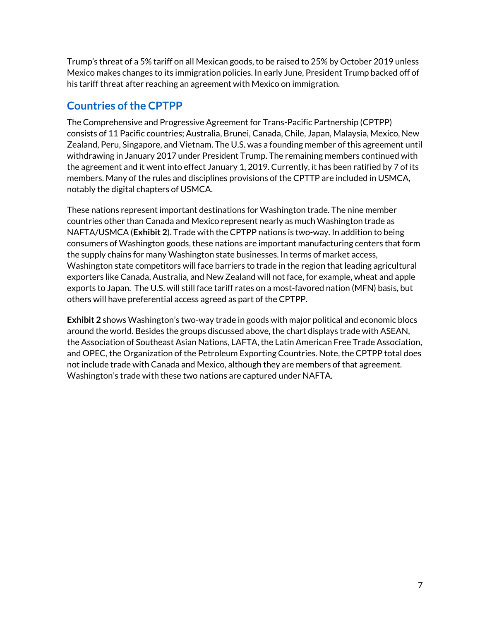Trump's threat of a 5% tariff on all Mexican goods, to be raised to 25% by October 2019 unless Mexico makes changes to its immigration policies. In early June, President Trump backed off of his tariff threat after reaching an agreement with Mexico on immigration.

#### <span id="page-7-0"></span>**Countries of the CPTPP**

The Comprehensive and Progressive Agreement for Trans-Pacific Partnership (CPTPP) consists of 11 Pacific countries; Australia, Brunei, Canada, Chile, Japan, Malaysia, Mexico, New Zealand, Peru, Singapore, and Vietnam. The U.S. was a founding member of this agreement until withdrawing in January 2017 under President Trump. The remaining members continued with the agreement and it went into effect January 1, 2019. Currently, it has been ratified by 7 of its members. Many of the rules and disciplines provisions of the CPTTP are included in USMCA, notably the digital chapters of USMCA.

These nations represent important destinations for Washington trade. The nine member countries other than Canada and Mexico represent nearly as much Washington trade as NAFTA/USMCA (**Exhibit 2**). Trade with the CPTPP nations is two-way. In addition to being consumers of Washington goods, these nations are important manufacturing centers that form the supply chains for many Washington state businesses. In terms of market access, Washington state competitors will face barriers to trade in the region that leading agricultural exporters like Canada, Australia, and New Zealand will not face, for example, wheat and apple exports to Japan. The U.S. will still face tariff rates on a most-favored nation (MFN) basis, but others will have preferential access agreed as part of the CPTPP.

**Exhibit 2** shows Washington's two-way trade in goods with major political and economic blocs around the world. Besides the groups discussed above, the chart displays trade with ASEAN, the Association of Southeast Asian Nations, LAFTA, the Latin American Free Trade Association, and OPEC, the Organization of the Petroleum Exporting Countries. Note, the CPTPP total does not include trade with Canada and Mexico, although they are members of that agreement. Washington's trade with these two nations are captured under NAFTA.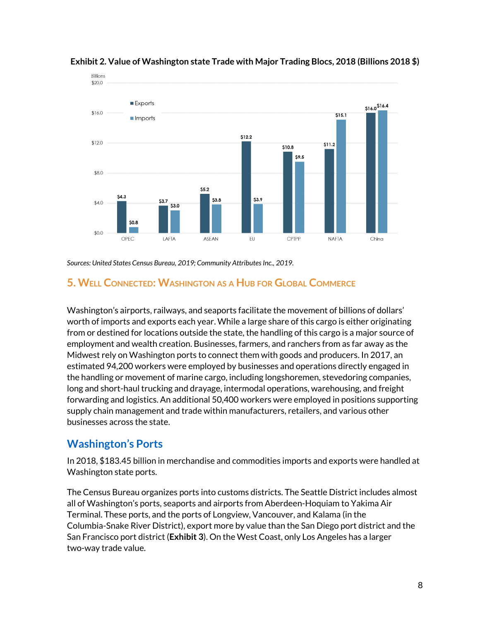

#### **Exhibit 2. Value of Washington state Trade with Major Trading Blocs, 2018 (Billions 2018 \$)**

*Sources: United States Census Bureau, 2019; Community AttributesInc., 2019.*

#### <span id="page-8-0"></span>**5. WELL CONNECTED: WASHINGTON AS <sup>A</sup> HUB FOR GLOBAL COMMERCE**

Washington's airports, railways, and seaports facilitate the movement of billions of dollars' worth of imports and exports each year. While a large share of this cargo is either originating from or destined for locations outside the state, the handling of this cargo is a major source of employment and wealth creation. Businesses, farmers, and ranchers from as far away as the Midwest rely on Washington ports to connect them with goods and producers. In 2017, an estimated 94,200 workers were employed by businesses and operations directly engaged in the handling or movement of marine cargo, including longshoremen, stevedoring companies, long and short-haul trucking and drayage, intermodal operations, warehousing, and freight forwarding and logistics. An additional 50,400 workers were employed in positions supporting supply chain management and trade within manufacturers, retailers, and various other businesses across the state.

#### <span id="page-8-1"></span>**Washington's Ports**

In 2018, \$183.45 billion in merchandise and commodities imports and exports were handled at Washington state ports.

The Census Bureau organizes ports into customs districts. The Seattle District includes almost all of Washington's ports, seaports and airports from Aberdeen-Hoquiam to Yakima Air Terminal. These ports, and the ports of Longview, Vancouver, and Kalama (in the Columbia-Snake River District), export more by value than the San Diego port district and the San Francisco port district (**Exhibit 3**). On the West Coast, only Los Angeles has a larger two-way trade value.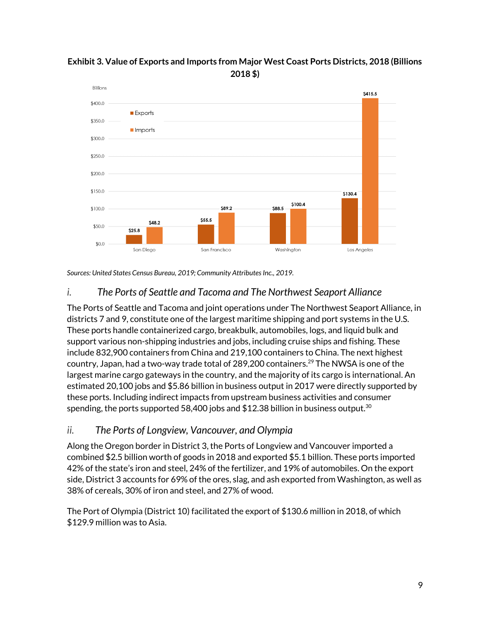

#### **Exhibit 3. Value of Exports and Imports from Major West Coast Ports Districts, 2018 (Billions 2018 \$)**

*Sources: United States Census Bureau, 2019; Community AttributesInc., 2019.*

#### <span id="page-9-0"></span>*i. The Ports of Seattle and Tacoma and The Northwest Seaport Alliance*

The Ports of Seattle and Tacoma and joint operations under The Northwest Seaport Alliance, in districts 7 and 9, constitute one of the largest maritime shipping and port systems in the U.S. These ports handle containerized cargo, breakbulk, automobiles, logs, and liquid bulk and support various non-shipping industries and jobs, including cruise ships and fishing. These include 832,900 containers from China and 219,100 containers to China. The next highest country, Japan, had a two-way trade total of 289,200 containers. $^{29}$  The NWSA is one of the largest marine cargo gateways in the country, and the majority of its cargo is international. An estimated 20,100 jobs and \$5.86 billion in business output in 2017 were directly supported by these ports. Including indirect impacts from upstream business activities and consumer spending, the ports supported 58,400 jobs and \$12.38 billion in business output. $^{\rm 30}$ 

#### <span id="page-9-1"></span>*ii. The Ports of Longview, Vancouver, and Olympia*

Along the Oregon border in District 3, the Ports of Longview and Vancouver imported a combined \$2.5 billion worth of goods in 2018 and exported \$5.1 billion. These ports imported 42% of the state's iron and steel, 24% of the fertilizer, and 19% of automobiles. On the export side, District 3 accounts for 69% of the ores, slag, and ash exported from Washington, as well as 38% of cereals, 30% of iron and steel, and 27% of wood.

The Port of Olympia (District 10) facilitated the export of \$130.6 million in 2018, of which \$129.9 million was to Asia.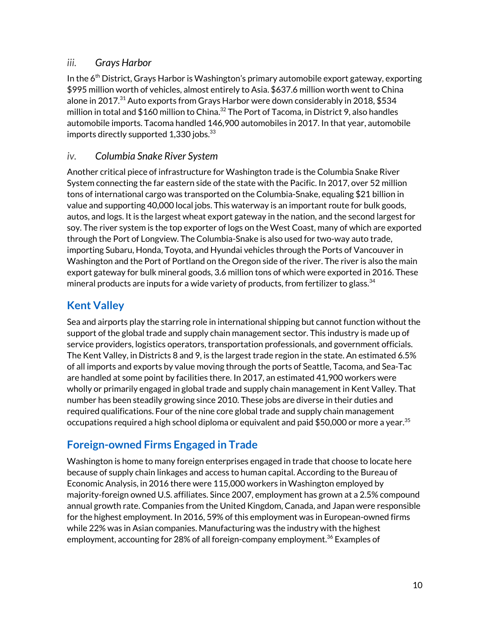#### <span id="page-10-0"></span>*iii. Grays Harbor*

In the 6<sup>th</sup> District, Grays Harbor is Washington's primary automobile export gateway, exporting \$995 million worth of vehicles, almost entirely to Asia. \$637.6 million worth went to China alone in 2017. <sup>31</sup> Auto exports from Grays Harbor were down considerably in 2018, \$534 million in total and  $$160$  million to China. $^{32}$  The Port of Tacoma, in District 9, also handles automobile imports. Tacoma handled 146,900 automobiles in 2017. In that year, automobile imports directly supported  $1,330$  jobs.  $^{33}$ 

#### <span id="page-10-1"></span>*iv. Columbia Snake River System*

Another critical piece of infrastructure for Washington trade is the Columbia Snake River System connecting the far eastern side of the state with the Pacific. In 2017, over 52 million tons of international cargo was transported on the Columbia-Snake, equaling \$21 billion in value and supporting 40,000 local jobs. This waterway is an important route for bulk goods, autos, and logs. It is the largest wheat export gateway in the nation, and the second largest for soy. The river system is the top exporter of logs on the West Coast, many of which are exported through the Port of Longview. The Columbia-Snake is also used for two-way auto trade, importing Subaru, Honda, Toyota, and Hyundai vehicles through the Ports of Vancouver in Washington and the Port of Portland on the Oregon side of the river. The river is also the main export gateway for bulk mineral goods, 3.6 million tons of which were exported in 2016. These mineral products are inputs for a wide variety of products, from fertilizer to glass. $^{34}$ 

## <span id="page-10-2"></span>**Kent Valley**

Sea and airports play the starring role in international shipping but cannot function without the support of the global trade and supply chain management sector. This industry is made up of service providers, logistics operators, transportation professionals, and government officials. The Kent Valley, in Districts 8 and 9, is the largest trade region in the state. An estimated 6.5% of all imports and exports by value moving through the ports of Seattle, Tacoma, and Sea-Tac are handled at some point by facilities there. In 2017, an estimated 41,900 workers were wholly or primarily engaged in global trade and supply chain management in Kent Valley. That number has been steadily growing since 2010. These jobs are diverse in their duties and required qualifications. Four of the nine core global trade and supply chain management occupations required a high school diploma or equivalent and paid  $$50,\!000$  or more a year. $^{35}$ 

## <span id="page-10-3"></span>**Foreign-owned Firms Engaged in Trade**

Washington is home to many foreign enterprises engaged in trade that choose to locate here because of supply chain linkages and access to human capital. According to the Bureau of Economic Analysis, in 2016 there were 115,000 workers in Washington employed by majority-foreign owned U.S. affiliates. Since 2007, employment has grown at a 2.5% compound annual growth rate. Companies from the United Kingdom, Canada, and Japan were responsible for the highest employment. In 2016, 59% of this employment was in European-owned firms while 22% was in Asian companies. Manufacturing was the industry with the highest employment, accounting for 28% of all foreign-company employment. <sup>36</sup> Examples of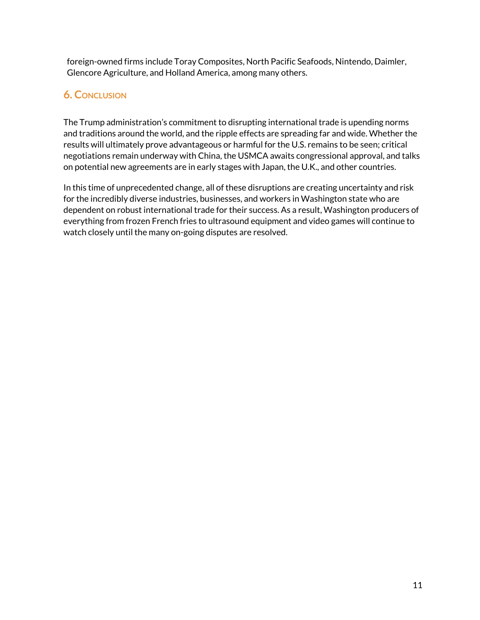foreign-owned firms include Toray Composites, North Pacific Seafoods, Nintendo, Daimler, Glencore Agriculture, and Holland America, among many others.

#### **6. CONCLUSION**

The Trump administration's commitment to disrupting international trade is upending norms and traditions around the world, and the ripple effects are spreading far and wide. Whether the results will ultimately prove advantageous or harmful for the U.S. remains to be seen; critical negotiations remain underway with China, the USMCA awaits congressional approval, and talks on potential new agreements are in early stages with Japan, the U.K., and other countries.

In this time of unprecedented change, all of these disruptions are creating uncertainty and risk for the incredibly diverse industries, businesses, and workers in Washington state who are dependent on robust international trade for their success. As a result, Washington producers of everything from frozen French fries to ultrasound equipment and video games will continue to watch closely until the many on-going disputes are resolved.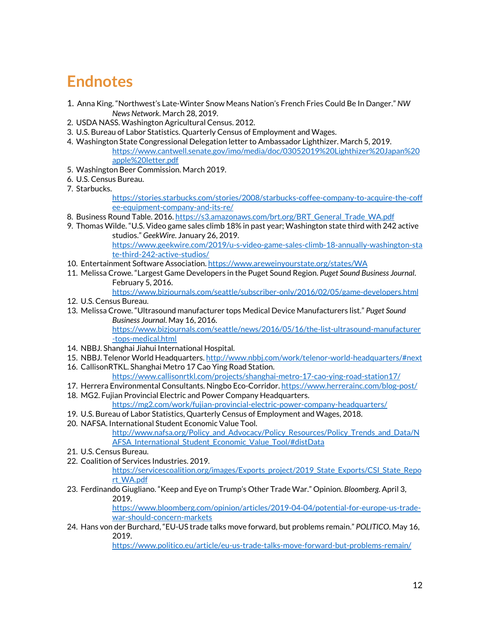## **Endnotes**

- 1. Anna King. "Northwest's Late-Winter Snow Means Nation's French Fries Could Be In Danger." *NW News Network*. March 28, 2019.
- 2. USDA NASS. Washington Agricultural Census. 2012.
- 3. U.S. Bureau of Labor Statistics. Quarterly Census of Employment and Wages.
- 4. Washington State Congressional Delegation letter to Ambassador Lighthizer. March 5, 2019. [https://www.cantwell.senate.gov/imo/media/doc/03052019%20Lighthizer%20Japan%20](https://www.cantwell.senate.gov/imo/media/doc/03052019%20Lighthizer%20Japan%20apple%20letter.pdf) [apple%20letter.pdf](https://www.cantwell.senate.gov/imo/media/doc/03052019%20Lighthizer%20Japan%20apple%20letter.pdf)
- 5. Washington Beer Commission. March 2019.
- 6. U.S. Census Bureau.
- 7. Starbucks.

[https://stories.starbucks.com/stories/2008/starbucks-coffee-company-to-acquire-the-coff](https://stories.starbucks.com/stories/2008/starbucks-coffee-company-to-acquire-the-coffee-equipment-company-and-its-re/) [ee-equipment-company-and-its-re/](https://stories.starbucks.com/stories/2008/starbucks-coffee-company-to-acquire-the-coffee-equipment-company-and-its-re/)

- 8. Business Round Table. 2016. [https://s3.amazonaws.com/brt.org/BRT\\_General\\_Trade\\_WA.pdf](https://s3.amazonaws.com/brt.org/BRT_General_Trade_WA.pdf)
- 9. Thomas Wilde. "U.S. Video game sales climb 18% in past year; Washington state third with 242 active studios." *GeekWire*. January 26, 2019. [https://www.geekwire.com/2019/u-s-video-game-sales-climb-18-annually-washington-sta](https://www.geekwire.com/2019/u-s-video-game-sales-climb-18-annually-washington-state-third-242-active-studios/) [te-third-242-active-studios/](https://www.geekwire.com/2019/u-s-video-game-sales-climb-18-annually-washington-state-third-242-active-studios/)
- 10. Entertainment Software Association. <https://www.areweinyourstate.org/states/WA>
- 11. Melissa Crowe. "Largest Game Developers in the Puget Sound Region. *Puget Sound Business Journal*. February 5, 2016.
	- <https://www.bizjournals.com/seattle/subscriber-only/2016/02/05/game-developers.html>
- 12. U.S. Census Bureau.
- 13. Melissa Crowe. "Ultrasound manufacturer tops Medical Device Manufacturers list." *Puget Sound Business Journal*. May 16, 2016.

[https://www.bizjournals.com/seattle/news/2016/05/16/the-list-ultrasound-manufacturer](https://www.bizjournals.com/seattle/news/2016/05/16/the-list-ultrasound-manufacturer-tops-medical.html) [-tops-medical.html](https://www.bizjournals.com/seattle/news/2016/05/16/the-list-ultrasound-manufacturer-tops-medical.html)

- 14. NBBJ. Shanghai Jiahui International Hospital.
- 15. NBBJ. Telenor World Headquarters. <http://www.nbbj.com/work/telenor-world-headquarters/#next>
- 16. CallisonRTKL. Shanghai Metro 17 Cao Ying Road Station.

<https://www.callisonrtkl.com/projects/shanghai-metro-17-cao-ying-road-station17/>

17. Herrera Environmental Consultants. Ningbo Eco-Corridor. <https://www.herrerainc.com/blog-post/> 18. MG2. Fujian Provincial Electric and Power Company Headquarters.

<https://mg2.com/work/fujian-provincial-electric-power-company-headquarters/>

- 19. U.S. Bureau of Labor Statistics, Quarterly Census of Employment and Wages, 2018.
- 20. NAFSA. International Student Economic Value Tool.

[http://www.nafsa.org/Policy\\_and\\_Advocacy/Policy\\_Resources/Policy\\_Trends\\_and\\_Data/N](http://www.nafsa.org/Policy_and_Advocacy/Policy_Resources/Policy_Trends_and_Data/NAFSA_International_Student_Economic_Value_Tool/#distData) [AFSA\\_International\\_Student\\_Economic\\_Value\\_Tool/#distData](http://www.nafsa.org/Policy_and_Advocacy/Policy_Resources/Policy_Trends_and_Data/NAFSA_International_Student_Economic_Value_Tool/#distData)

- 21. U.S. Census Bureau.
- 22. Coalition of Services Industries. 2019. [https://servicescoalition.org/images/Exports\\_project/2019\\_State\\_Exports/CSI\\_State\\_Repo](https://servicescoalition.org/images/Exports_project/2019_State_Exports/CSI_State_Report_WA.pdf) [rt\\_WA.pdf](https://servicescoalition.org/images/Exports_project/2019_State_Exports/CSI_State_Report_WA.pdf)
- 23. Ferdinando Giugliano. "Keep and Eye on Trump's Other Trade War." Opinion. *Bloomberg*. April 3, 2019.

[https://www.bloomberg.com/opinion/articles/2019-04-04/potential-for-europe-us-trade](https://www.bloomberg.com/opinion/articles/2019-04-04/potential-for-europe-us-trade-war-should-concern-markets)[war-should-concern-markets](https://www.bloomberg.com/opinion/articles/2019-04-04/potential-for-europe-us-trade-war-should-concern-markets)

24. Hans von der Burchard, "EU-US trade talks move forward, but problems remain." *POLITICO*. May 16, 2019.

<https://www.politico.eu/article/eu-us-trade-talks-move-forward-but-problems-remain/>